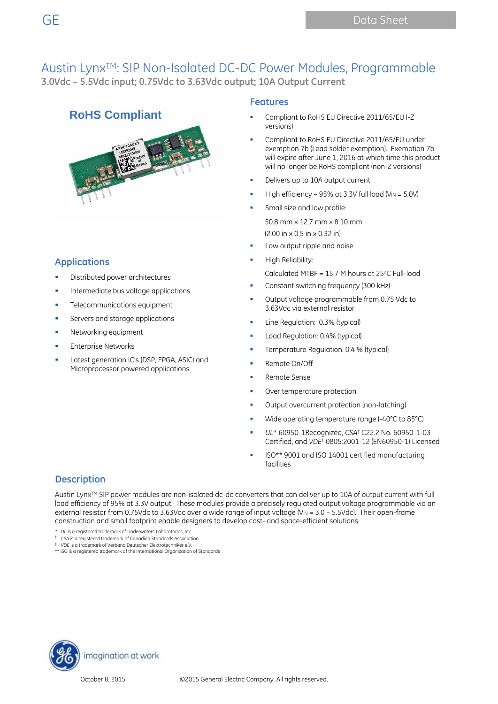## **RoHS Compliant**



#### **Applications**

- Distributed power architectures
- Intermediate bus voltage applications
- Telecommunications equipment
- Servers and storage applications
- Networking equipment
- Enterprise Networks
- Latest generation IC's (DSP, FPGA, ASIC) and Microprocessor powered applications

#### **Features**

- Compliant to RoHS EU Directive 2011/65/EU (-Z versions)
- Compliant to RoHS EU Directive 2011/65/EU under exemption 7b (Lead solder exemption). Exemption 7b will expire after June 1, 2016 at which time this product will no longer be RoHS compliant (non-Z versions)
- Delivers up to 10A output current
- High efficiency 95% at 3.3V full load ( $V_{IN} = 5.0V$ )
- Small size and low profile:

50.8 mm x 12.7 mm x 8.10 mm (2.00 in x 0.5 in x 0.32 in)

- Low output ripple and noise
- High Reliability: Calculated MTBF = 15.7 M hours at  $25^{\circ}$ C Full-load
- Constant switching frequency (300 kHz)
- Output voltage programmable from 0.75 Vdc to 3.63Vdc via external resistor
- Line Regulation: 0.3% (typical)
- Load Regulation: 0.4% (typical)
- Temperature Regulation: 0.4 % (typical)
- Remote On/Off
- Remote Sense
- Over temperature protection
- Output overcurrent protection (non-latching)
- Wide operating temperature range (-40°C to 85°C)
- *UL*\* 60950-1Recognized, *CSA*† C22.2 No. 60950-1-03 Certified, and *VDE*‡ 0805:2001-12 (EN60950-1) Licensed
- ISO\*\* 9001 and ISO 14001 certified manufacturing facilities

### **Description**

Austin Lynx™ SIP power modules are non-isolated dc-dc converters that can deliver up to 10A of output current with full load efficiency of 95% at 3.3V output. These modules provide a precisely regulated output voltage programmable via an external resistor from 0.75Vdc to 3.63Vdc over a wide range of input voltage (V<sub>IN</sub> = 3.0 – 5.5Vdc). Their open-frame construction and small footprint enable designers to develop cost- and space-efficient solutions.

- \* *UL* is a registered trademark of Underwriters Laboratories, Inc.
- † *CSA* is a registered trademark of Canadian Standards Association. ‡ *VDE* is a trademark of Verband Deutscher Elektrotechniker e.V.
- \*\* ISO is a registered trademark of the International Organization of Standards

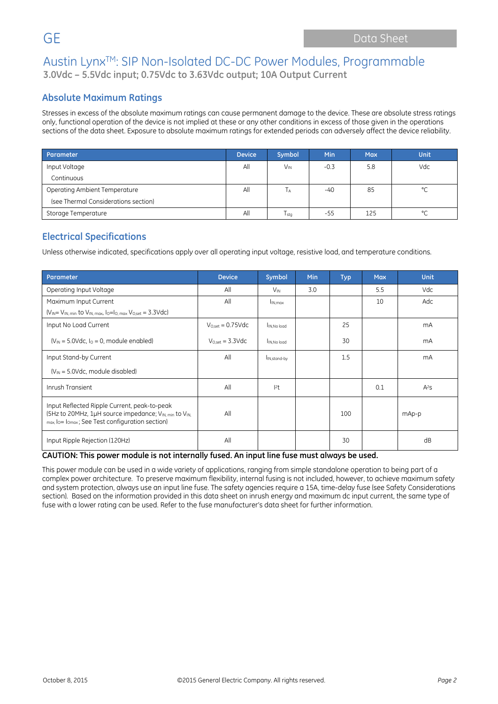## **Absolute Maximum Ratings**

Stresses in excess of the absolute maximum ratings can cause permanent damage to the device. These are absolute stress ratings only, functional operation of the device is not implied at these or any other conditions in excess of those given in the operations sections of the data sheet. Exposure to absolute maximum ratings for extended periods can adversely affect the device reliability.

| Parameter                            | <b>Device</b> | Symbol                | <b>Min</b> | <b>Max</b> | <b>Unit</b> |
|--------------------------------------|---------------|-----------------------|------------|------------|-------------|
| Input Voltage                        | All           | <b>V<sub>IN</sub></b> | $-0.3$     | 5.8        | Vdc         |
| Continuous                           |               |                       |            |            |             |
| Operating Ambient Temperature        | All           | ĪА                    | -40        | 85         | $\circ$     |
| (see Thermal Considerations section) |               |                       |            |            |             |
| Storage Temperature                  | All           | I stg                 | $-55$      | 125        | $\circ$     |

## **Electrical Specifications**

Unless otherwise indicated, specifications apply over all operating input voltage, resistive load, and temperature conditions.

| Parameter                                                                                                                                                | <b>Device</b>                 | Symbol                   | Min | <b>Typ</b> | <b>Max</b> | <b>Unit</b> |
|----------------------------------------------------------------------------------------------------------------------------------------------------------|-------------------------------|--------------------------|-----|------------|------------|-------------|
| Operating Input Voltage                                                                                                                                  | All                           | $V_{\text{IN}}$          | 3.0 |            | 5.5        | Vdc         |
| Maximum Input Current                                                                                                                                    | All                           | I <sub>IN, max</sub>     |     |            | 10         | Adc         |
| $(V_{IN} = V_{IN, min}$ to $V_{IN, max, 10} = I_{O, max}$ $V_{O, set} = 3.3 \text{Vdc}$                                                                  |                               |                          |     |            |            |             |
| Input No Load Current                                                                                                                                    | $V_{O.set} = 0.75 \text{Vdc}$ | IN.No load               |     | 25         |            | mA          |
| $(V_{IN} = 5.0 \text{Vdc}, I_0 = 0$ , module enabled)                                                                                                    | $V_{Oset} = 3.3 \text{Vdc}$   | IN.No load               |     | 30         |            | mA          |
| Input Stand-by Current                                                                                                                                   | All                           | I <sub>IN,stand-by</sub> |     | 1.5        |            | mA          |
| $(V_{\text{IN}} = 5.0 \text{Vdc}$ , module disabled)                                                                                                     |                               |                          |     |            |            |             |
| Inrush Transient                                                                                                                                         | All                           | $12$ t                   |     |            | 0.1        | $A^2S$      |
| Input Reflected Ripple Current, peak-to-peak<br>(5Hz to 20MHz, 1µH source impedance; VIN, min to VIN,<br>max, lo= lomax; See Test configuration section) | All                           |                          |     | 100        |            | mAp-p       |
| Input Ripple Rejection (120Hz)                                                                                                                           | All                           |                          |     | 30         |            | dB          |

**CAUTION: This power module is not internally fused. An input line fuse must always be used.**

This power module can be used in a wide variety of applications, ranging from simple standalone operation to being part of a complex power architecture. To preserve maximum flexibility, internal fusing is not included, however, to achieve maximum safety and system protection, always use an input line fuse. The safety agencies require a 15A, time-delay fuse (see Safety Considerations section). Based on the information provided in this data sheet on inrush energy and maximum dc input current, the same type of fuse with a lower rating can be used. Refer to the fuse manufacturer's data sheet for further information.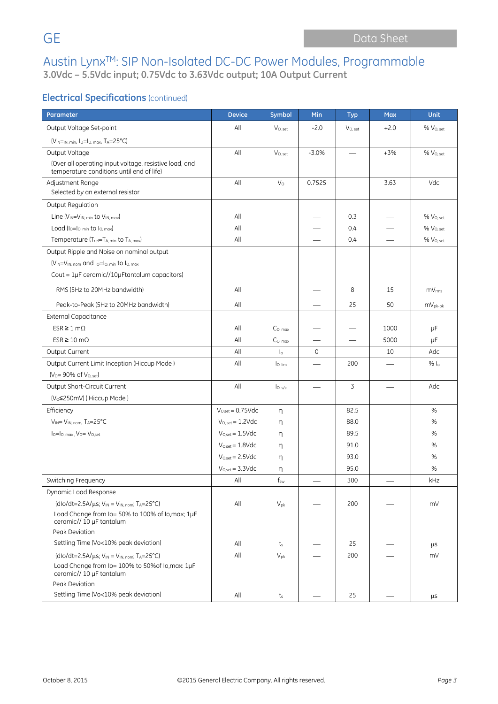## **Electrical Specifications (continued)**

| Parameter                                                                    | <b>Device</b>                | Symbol                   | Min          | <b>Typ</b>   | <b>Max</b> | <b>Unit</b>           |
|------------------------------------------------------------------------------|------------------------------|--------------------------|--------------|--------------|------------|-----------------------|
| Output Voltage Set-point                                                     | All                          | $V_{O, set}$             | $-2.0$       | $V_{O, set}$ | $+2.0$     | % V <sub>O, set</sub> |
| $(V_{IN} = N, min, 10 = 10, max, T_A = 25°C)$                                |                              |                          |              |              |            |                       |
| Output Voltage                                                               | All                          | $V_{O, set}$             | $-3.0%$      |              | $+3%$      | % Vo, set             |
| (Over all operating input voltage, resistive load, and                       |                              |                          |              |              |            |                       |
| temperature conditions until end of life)                                    |                              |                          |              |              |            |                       |
| Adjustment Range<br>Selected by an external resistor                         | All                          | V <sub>0</sub>           | 0.7525       |              | 3.63       | Vdc                   |
|                                                                              |                              |                          |              |              |            |                       |
| Output Regulation<br>Line $(V_{IN} = V_{IN. min}$ to $V_{IN. max}$ )         | All                          |                          |              | 0.3          |            | % Vo, set             |
| Load $(I_0 = I_0$ min to $I_0$ max)                                          | All                          |                          |              | 0.4          |            | % V <sub>O, set</sub> |
| Temperature (Tref=TA, min to TA, max)                                        | All                          |                          |              | 0.4          |            | % V <sub>O, set</sub> |
| Output Ripple and Noise on nominal output                                    |                              |                          |              |              |            |                       |
| $(V_{IN} = V_{IN, nom}$ and $I_0 = I_{O, min}$ to $I_{O, max}$               |                              |                          |              |              |            |                       |
| Cout = 1µF ceramic//10µFtantalum capacitors)                                 |                              |                          |              |              |            |                       |
|                                                                              |                              |                          |              |              |            |                       |
| RMS (5Hz to 20MHz bandwidth)                                                 | All                          |                          |              | 8            | 15         | mV <sub>rms</sub>     |
| Peak-to-Peak (5Hz to 20MHz bandwidth)                                        | All                          |                          |              | 25           | 50         | $mV_{pk-pk}$          |
| <b>External Capacitance</b>                                                  |                              |                          |              |              |            |                       |
| $ESR \geq 1 \text{ mA}$                                                      | All                          | $C0$ max                 |              |              | 1000       | μF                    |
| $ESR \ge 10 \text{ m}\Omega$                                                 | All                          | $C0$ max                 |              |              | 5000       | μF                    |
| Output Current                                                               | All                          | $\mathsf{I}_0$           | $\mathbf{0}$ |              | 10         | Adc                   |
| Output Current Limit Inception (Hiccup Mode)                                 | All                          | lo, lim                  |              | 200          |            | $%$ $\vert_{\circ}$   |
| $(V_0 = 90\% \text{ of } V_{0.5}$                                            |                              |                          |              |              |            |                       |
| Output Short-Circuit Current                                                 | All                          | $I_{O, S/c}$             |              | 3            |            | Adc                   |
| (V <sub>o</sub> ≤250mV) (Hiccup Mode)                                        |                              |                          |              |              |            |                       |
| Efficiency                                                                   | $V_{O.set} = 0.75Vdc$        | η                        |              | 82.5         |            | %                     |
| VIN= VIN, nom, TA=25°C                                                       | $V_{O, set} = 1.2Vdc$        | η                        |              | 88.0         |            | %                     |
| $I_0 = I_0$ . max. $V_0 = V_{0,\text{set}}$                                  | $V_{O,set} = 1.5 \text{Vdc}$ | η                        |              | 89.5         |            | $\%$                  |
|                                                                              | $V_{O.set} = 1.8$ Vdc        | η                        |              | 91.0         |            | %                     |
|                                                                              | $V_{O,set} = 2.5 \text{Vdc}$ | η                        |              | 93.0         |            | %                     |
|                                                                              | $V_{O,set} = 3.3 \text{Vdc}$ | η                        |              | 95.0         |            | %                     |
| Switching Frequency                                                          | $\mathsf{All}$               | $\mathsf{f}_\mathsf{sw}$ |              | 300          |            | kHz                   |
| Dynamic Load Response                                                        |                              |                          |              |              |            |                       |
| $(dlo/dt=2.5A/\mu s; V_{IN}=V_{IN, nom}; T_A=25°C)$                          | All                          | $V_{pk}$                 |              | 200          |            | mV                    |
| Load Change from Io= 50% to 100% of Io, max; 1µF<br>ceramic// 10 µF tantalum |                              |                          |              |              |            |                       |
| Peak Deviation                                                               |                              |                          |              |              |            |                       |
| Settling Time (Vo<10% peak deviation)                                        | All                          | ts                       |              | 25           |            | μs                    |
| $(dlo/dt=2.5A/\mu s; V_{IN}=V_{IN, nom}; T_A=25°C)$                          | All                          | $V_{pk}$                 |              | 200          |            | mV                    |
| Load Change from Io= 100% to 50% of Io, max: 1µF<br>ceramic// 10 µF tantalum |                              |                          |              |              |            |                       |
| Peak Deviation                                                               |                              |                          |              |              |            |                       |
| Settling Time (Vo<10% peak deviation)                                        | All                          | t,                       |              | 25           |            | μs                    |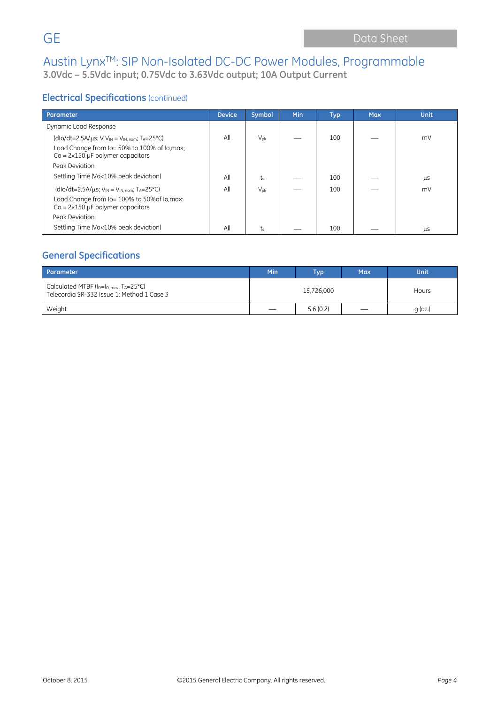## **Electrical Specifications** (continued)

| Parameter                                                                                                                                                        | <b>Device</b> | Symbol          | Min | <b>Typ</b> | <b>Max</b> | <b>Unit</b> |
|------------------------------------------------------------------------------------------------------------------------------------------------------------------|---------------|-----------------|-----|------------|------------|-------------|
| Dynamic Load Response                                                                                                                                            |               |                 |     |            |            |             |
| $(dlo/dt=2.5A/\mu s; VV_{IN}=V_{IN, nom}; T_A=25°C)$<br>Load Change from Io= 50% to 100% of Io, max;<br>$Co = 2 \times 150 \mu F$ polymer capacitors             | All           | $V_{\text{pk}}$ |     | 100        |            | mV          |
| Peak Deviation                                                                                                                                                   |               |                 |     |            |            |             |
| Settling Time (Vo<10% peak deviation)                                                                                                                            | All           | $t_{s}$         |     | 100        |            | μS          |
| $(dlo/dt=2.5A/\mu s; VIN = VIN, nom; TA=25°C)$<br>Load Change from Io= 100% to 50% of Io, max:<br>$Co = 2 \times 150 \mu F$ polymer capacitors<br>Peak Deviation | All           | $V_{\text{pk}}$ |     | 100        |            | mV          |
| Settling Time (Vo<10% peak deviation)                                                                                                                            | All           | t、              |     | 100        |            | μS          |

## **General Specifications**

| Parameter                                                                                              | Min | Typ <sup>1</sup> | <b>Max</b>                    | Unit      |
|--------------------------------------------------------------------------------------------------------|-----|------------------|-------------------------------|-----------|
| Calculated MTBF ( $I_0 = I_0$ max, $T_A = 25^{\circ}$ C)<br>Telecordia SR-332 Issue 1: Method 1 Case 3 |     | Hours            |                               |           |
| Weight                                                                                                 |     | 5.6(0.2)         | $\overbrace{\phantom{12332}}$ | $q$ (oz.) |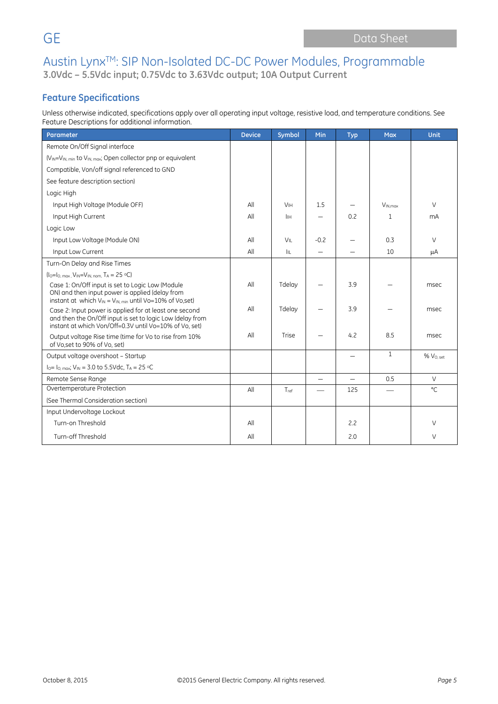## **Feature Specifications**

Unless otherwise indicated, specifications apply over all operating input voltage, resistive load, and temperature conditions. See Feature Descriptions for additional information.

| Parameter                                                                                                                                                                     | <b>Device</b> | Symbol                | Min    | <b>Typ</b>               | <b>Max</b>          | <b>Unit</b>           |
|-------------------------------------------------------------------------------------------------------------------------------------------------------------------------------|---------------|-----------------------|--------|--------------------------|---------------------|-----------------------|
| Remote On/Off Signal interface                                                                                                                                                |               |                       |        |                          |                     |                       |
| (V <sub>IN</sub> =V <sub>IN, min</sub> to V <sub>IN, max</sub> ; Open collector pnp or equivalent                                                                             |               |                       |        |                          |                     |                       |
| Compatible, Von/off signal referenced to GND                                                                                                                                  |               |                       |        |                          |                     |                       |
| See feature description section)                                                                                                                                              |               |                       |        |                          |                     |                       |
| Logic High                                                                                                                                                                    |               |                       |        |                          |                     |                       |
| Input High Voltage (Module OFF)                                                                                                                                               | All           | <b>V<sub>IH</sub></b> | 1.5    |                          | V <sub>IN max</sub> | V                     |
| Input High Current                                                                                                                                                            | All           | İІН                   |        | 0.2                      | 1                   | mA                    |
| Logic Low                                                                                                                                                                     |               |                       |        |                          |                     |                       |
| Input Low Voltage (Module ON)                                                                                                                                                 | All           | VIL                   | $-0.2$ |                          | 0.3                 | V                     |
| Input Low Current                                                                                                                                                             | All           | Iπ                    |        |                          | 10                  | μA                    |
| Turn-On Delay and Rise Times                                                                                                                                                  |               |                       |        |                          |                     |                       |
| $(I_0 = I_0$ max, $V_{IN} = V_{IN.}$ nom, $T_A = 25$ °C)                                                                                                                      |               |                       |        |                          |                     |                       |
| Case 1: On/Off input is set to Logic Low (Module<br>ON) and then input power is applied (delay from<br>instant at which $V_{IN} = V_{IN. min}$ until Vo=10% of Vo,set)        | All           | Tdelay                |        | 3.9                      |                     | msec                  |
| Case 2: Input power is applied for at least one second<br>and then the On/Off input is set to logic Low (delay from<br>instant at which Von/Off=0.3V until Vo=10% of Vo, set) | All           | Tdelay                |        | 3.9                      |                     | msec                  |
| Output voltage Rise time (time for Vo to rise from 10%<br>of Vo.set to 90% of Vo. set)                                                                                        | All           | Trise                 |        | 4.2                      | 8.5                 | msec                  |
| Output voltage overshoot - Startup                                                                                                                                            |               |                       |        |                          | $\mathbf{1}$        | % V <sub>O, set</sub> |
| $I_0 = I_0$ , max; $V_{IN} = 3.0$ to 5.5Vdc, TA = 25 °C                                                                                                                       |               |                       |        |                          |                     |                       |
| Remote Sense Range                                                                                                                                                            |               |                       | —      | $\overline{\phantom{0}}$ | 0.5                 | V                     |
| Overtemperature Protection                                                                                                                                                    | All           | $T_{ref}$             |        | 125                      |                     | $^{\circ}$ C          |
| (See Thermal Consideration section)                                                                                                                                           |               |                       |        |                          |                     |                       |
| Input Undervoltage Lockout                                                                                                                                                    |               |                       |        |                          |                     |                       |
| Turn-on Threshold                                                                                                                                                             | All           |                       |        | 2.2                      |                     | V                     |
| Turn-off Threshold                                                                                                                                                            | All           |                       |        | 2.0                      |                     | V                     |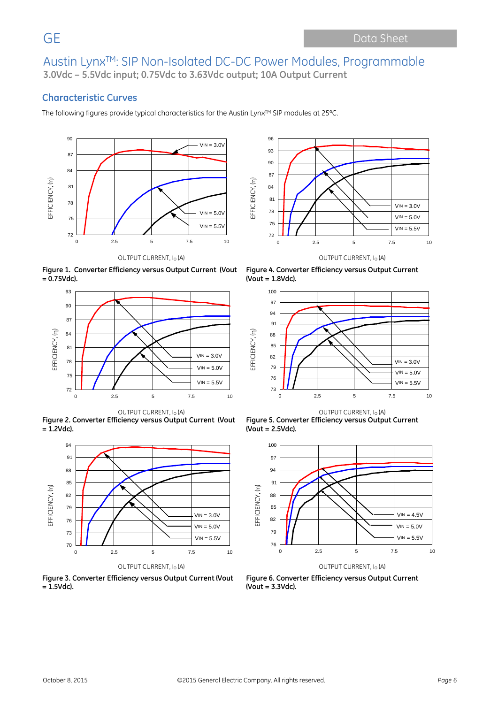### **Characteristic Curves**

The following figures provide typical characteristics for the Austin Lynx™ SIP modules at 25°C.





**Figure 1. Converter Efficiency versus Output Current (Vout = 0.75Vdc).**



**Figure 2. Converter Efficiency versus Output Current (Vout = 1.2Vdc).**



**Figure 3. Converter Efficiency versus Output Current (Vout = 1.5Vdc).**



OUTPUT CURRENT, I<sub>O</sub> (A) **OUTPUT CURRENT**, I<sub>O</sub> (A)

**Figure 4. Converter Efficiency versus Output Current (Vout = 1.8Vdc).**







**Figure 6. Converter Efficiency versus Output Current (Vout = 3.3Vdc).**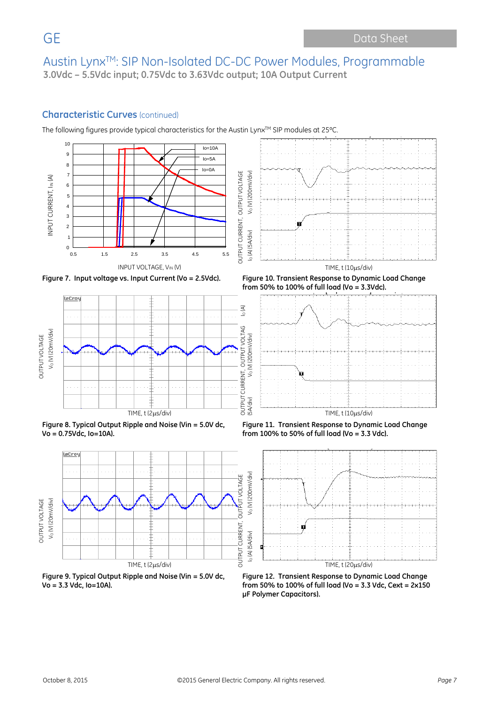#### **Characteristic Curves** (continued)

The following figures provide typical characteristics for the Austin Lynx™ SIP modules at 25°C.





**Figure 9. Typical Output Ripple and Noise (Vin = 5.0V dc, Vo = 3.3 Vdc, Io=10A).**



**Figure 12. Transient Response to Dynamic Load Change from 50% to 100% of full load (Vo = 3.3 Vdc, Cext = 2x150 μF Polymer Capacitors).**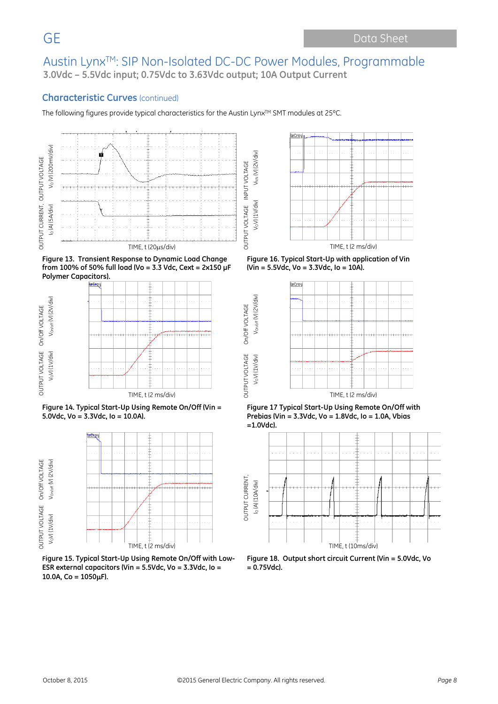VoV) (1V/div) V<sub>NN</sub> (V) (2V/div)

V<sub>o</sub>V) (1V/div)

VNN (V) (2V/div)

OUTPUT VOLTAGE On/Off VOLTAGE VOV) (1V/div) VOn/off (V) (2V/div)

On/Off VOLTAGE

Vorvoff (V) (2V/div)

VoV) (1V/div)

#### **Characteristic Curves** (continued)

The following figures provide typical characteristics for the Austin Lynx™ SMT modules at 25°C.



**Figure 13. Transient Response to Dynamic Load Change from 100% of 50% full load (Vo = 3.3 Vdc, Cext = 2x150 μF Polymer Capacitors).**



**Figure 14. Typical Start-Up Using Remote On/Off (Vin = 5.0Vdc, Vo = 3.3Vdc, Io = 10.0A).**



**Figure 15. Typical Start-Up Using Remote On/Off with Low-ESR external capacitors (Vin = 5.5Vdc, Vo = 3.3Vdc, Io = 10.0A, Co = 1050**µ**F).**



**Figure 16. Typical Start-Up with application of Vin (Vin = 5.5Vdc, Vo = 3.3Vdc, Io = 10A).**



**Figure 17 Typical Start-Up Using Remote On/Off with Prebias (Vin = 3.3Vdc, Vo = 1.8Vdc, Io = 1.0A, Vbias =1.0Vdc).**



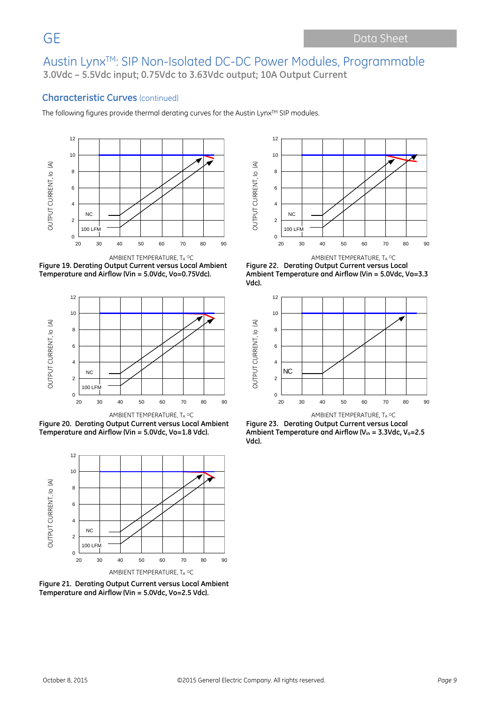#### **Characteristic Curves** (continued)

The following figures provide thermal derating curves for the Austin Lynx™ SIP modules.







**Figure 20. Derating Output Current versus Local Ambient Temperature and Airflow (Vin = 5.0Vdc, Vo=1.8 Vdc).**



**Figure 21. Derating Output Current versus Local Ambient Temperature and Airflow (Vin = 5.0Vdc, Vo=2.5 Vdc).**



AMBIENT TEMPERATURE, TA <sup>O</sup>C AMBIENT TEMPERATURE, TA OC **Figure 22. Derating Output Current versus Local Ambient Temperature and Airflow (Vin = 5.0Vdc, Vo=3.3 Vdc).**



**Figure 23. Derating Output Current versus Local Ambient Temperature and Airflow (Vin = 3.3Vdc, Vo=2.5 Vdc).**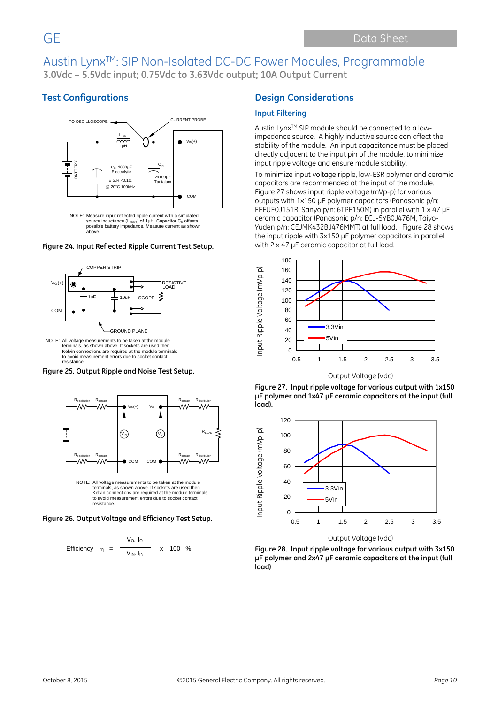## **Test Configurations**



#### **Figure 24. Input Reflected Ripple Current Test Setup.**



terminals, as shown above. If sockets are used then Kelvin connections are required at the module terminals to avoid measurement errors due to socket contact resistance.

**Figure 25. Output Ripple and Noise Test Setup.**



**Figure 26. Output Voltage and Efficiency Test Setup.**

resistance.



#### **Design Considerations**

#### **Input Filtering**

Austin Lynx™ SIP module should be connected to a lowimpedance source. A highly inductive source can affect the stability of the module. An input capacitance must be placed directly adjacent to the input pin of the module, to minimize input ripple voltage and ensure module stability.

To minimize input voltage ripple, low-ESR polymer and ceramic capacitors are recommended at the input of the module. Figure 27 shows input ripple voltage (mVp-p) for various outputs with 1x150 µF polymer capacitors (Panasonic p/n: EEFUE0J151R, Sanyo p/n: 6TPE150M) in parallel with 1 x 47 µF ceramic capacitor (Panasonic p/n: ECJ-5YB0J476M, Taiyo-Yuden p/n: CEJMK432BJ476MMT) at full load. Figure 28 shows the input ripple with 3x150 µF polymer capacitors in parallel with 2 x 47 µF ceramic capacitor at full load.



Output Voltage (Vdc)

**Figure 27. Input ripple voltage for various output with 1x150 µF polymer and 1x47 µF ceramic capacitors at the input (full load).**



Output Voltage (Vdc)

**Figure 28. Input ripple voltage for various output with 3x150 µF polymer and 2x47 µF ceramic capacitors at the input (full load)**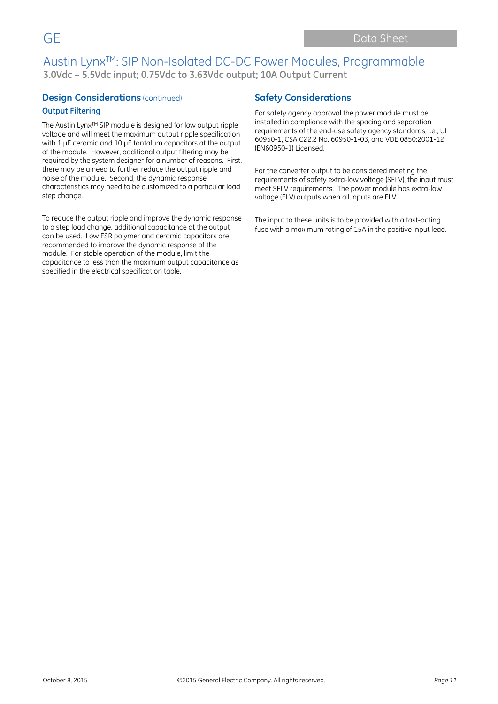#### **Design Considerations** (continued)

#### **Output Filtering**

The Austin Lynx™ SIP module is designed for low output ripple voltage and will meet the maximum output ripple specification with 1 uF ceramic and 10 uF tantalum capacitors at the output of the module. However, additional output filtering may be required by the system designer for a number of reasons. First, there may be a need to further reduce the output ripple and noise of the module. Second, the dynamic response characteristics may need to be customized to a particular load step change.

To reduce the output ripple and improve the dynamic response to a step load change, additional capacitance at the output can be used. Low ESR polymer and ceramic capacitors are recommended to improve the dynamic response of the module. For stable operation of the module, limit the capacitance to less than the maximum output capacitance as specified in the electrical specification table.

#### **Safety Considerations**

For safety agency approval the power module must be installed in compliance with the spacing and separation requirements of the end-use safety agency standards, i.e., UL 60950-1, CSA C22.2 No. 60950-1-03, and VDE 0850:2001-12 (EN60950-1) Licensed.

For the converter output to be considered meeting the requirements of safety extra-low voltage (SELV), the input must meet SELV requirements. The power module has extra-low voltage (ELV) outputs when all inputs are ELV.

The input to these units is to be provided with a fast-acting fuse with a maximum rating of 15A in the positive input lead.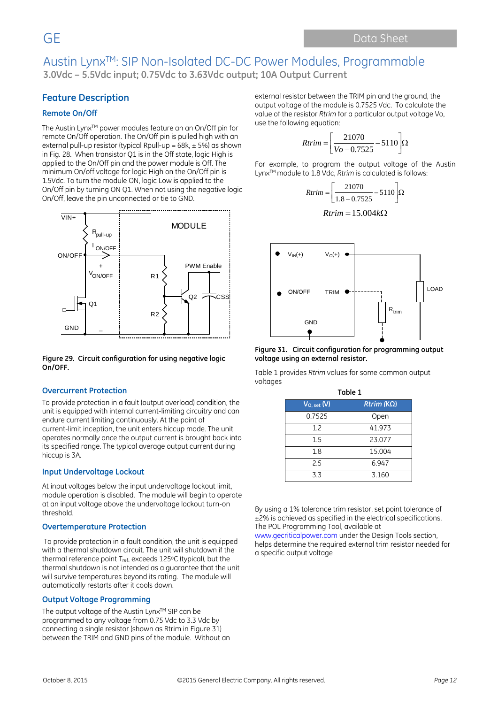## **Feature Description**

#### **Remote On/Off**

The Austin Lynx™ power modules feature an an On/Off pin for remote On/Off operation. The On/Off pin is pulled high with an external pull-up resistor (typical Rpull-up =  $68k, \pm 5\%$ ) as shown in Fig. 28. When transistor Q1 is in the Off state, logic High is applied to the On/Off pin and the power module is Off. The minimum On/off voltage for logic High on the On/Off pin is 1.5Vdc. To turn the module ON, logic Low is applied to the On/Off pin by turning ON Q1. When not using the negative logic On/Off, leave the pin unconnected or tie to GND.



**Figure 29. Circuit configuration for using negative logic On/OFF.**

#### **Overcurrent Protection**

To provide protection in a fault (output overload) condition, the unit is equipped with internal current-limiting circuitry and can endure current limiting continuously. At the point of current-limit inception, the unit enters hiccup mode. The unit operates normally once the output current is brought back into its specified range. The typical average output current during hiccup is 3A.

#### **Input Undervoltage Lockout**

At input voltages below the input undervoltage lockout limit, module operation is disabled. The module will begin to operate at an input voltage above the undervoltage lockout turn-on threshold.

#### **Overtemperature Protection**

To provide protection in a fault condition, the unit is equipped with a thermal shutdown circuit. The unit will shutdown if the thermal reference point Tref, exceeds 125°C (typical), but the thermal shutdown is not intended as a guarantee that the unit will survive temperatures beyond its rating. The module will automatically restarts after it cools down.

#### **Output Voltage Programming**

The output voltage of the Austin Lyn $x^{TM}$  SIP can be programmed to any voltage from 0.75 Vdc to 3.3 Vdc by connecting a single resistor (shown as Rtrim in Figure 31) between the TRIM and GND pins of the module. Without an external resistor between the TRIM pin and the ground, the output voltage of the module is 0.7525 Vdc. To calculate the value of the resistor *Rtrim* for a particular output voltage Vo, use the following equation:

$$
Rtrim = \left[\frac{21070}{Vo - 0.7525} - 5110\right] \Omega
$$

For example, to program the output voltage of the Austin LynxTM module to 1.8 Vdc, *Rtrim* is calculated is follows:

$$
Rtrim = \left[\frac{21070}{1.8 - 0.7525} - 5110\right]\Omega
$$

$$
Rtrim = 15.004k\Omega
$$



**Figure 31. Circuit configuration for programming output voltage using an external resistor.**

Table 1 provides *Rtrim* values for some common output voltages **Table 1**

| .                 |  |  |  |  |  |
|-------------------|--|--|--|--|--|
| $Rtrim (K\Omega)$ |  |  |  |  |  |
| Open              |  |  |  |  |  |
| 41.973            |  |  |  |  |  |
| 23.077            |  |  |  |  |  |
| 15.004            |  |  |  |  |  |
| 6.947             |  |  |  |  |  |
| 3.160             |  |  |  |  |  |
|                   |  |  |  |  |  |

By using a 1% tolerance trim resistor, set point tolerance of ±2% is achieved as specified in the electrical specifications. The POL Programming Tool, available at

www.gecriticalpower.com under the Design Tools section, helps determine the required external trim resistor needed for a specific output voltage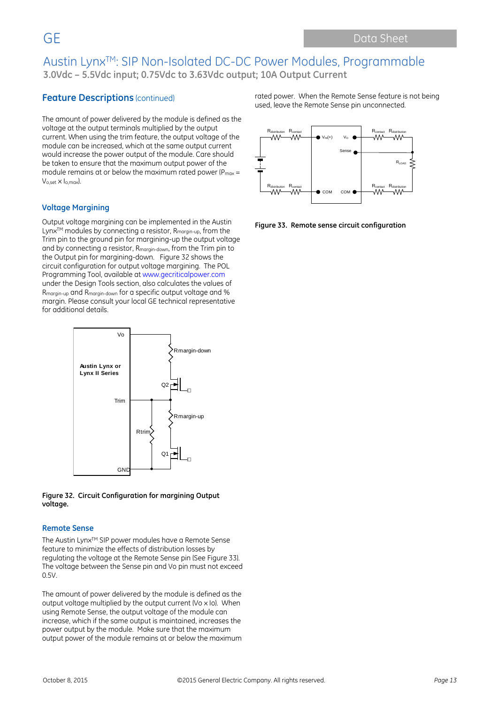### **Feature Descriptions** (continued)

The amount of power delivered by the module is defined as the voltage at the output terminals multiplied by the output current. When using the trim feature, the output voltage of the module can be increased, which at the same output current would increase the power output of the module. Care should be taken to ensure that the maximum output power of the module remains at or below the maximum rated power ( $P_{max}$  = Vo,set x Io,max).

#### **Voltage Margining**

Output voltage margining can be implemented in the Austin Lynx<sup>™</sup> modules by connecting a resistor, R<sub>margin-up</sub>, from the Trim pin to the ground pin for margining-up the output voltage and by connecting a resistor, Rmargin-down, from the Trim pin to the Output pin for margining-down. Figure 32 shows the circuit configuration for output voltage margining. The POL Programming Tool, available at www.gecriticalpower.com under the Design Tools section, also calculates the values of Rmargin-up and Rmargin-down for a specific output voltage and % margin. Please consult your local GE technical representative for additional details.



**Figure 32. Circuit Configuration for margining Output voltage.**

#### **Remote Sense**

The Austin Lynx™ SIP power modules have a Remote Sense feature to minimize the effects of distribution losses by regulating the voltage at the Remote Sense pin (See Figure 33). The voltage between the Sense pin and Vo pin must not exceed 0.5V.

The amount of power delivered by the module is defined as the output voltage multiplied by the output current (Vo x Io). When using Remote Sense, the output voltage of the module can increase, which if the same output is maintained, increases the power output by the module. Make sure that the maximum output power of the module remains at or below the maximum rated power. When the Remote Sense feature is not being used, leave the Remote Sense pin unconnected.



**Figure 33. Remote sense circuit configuration**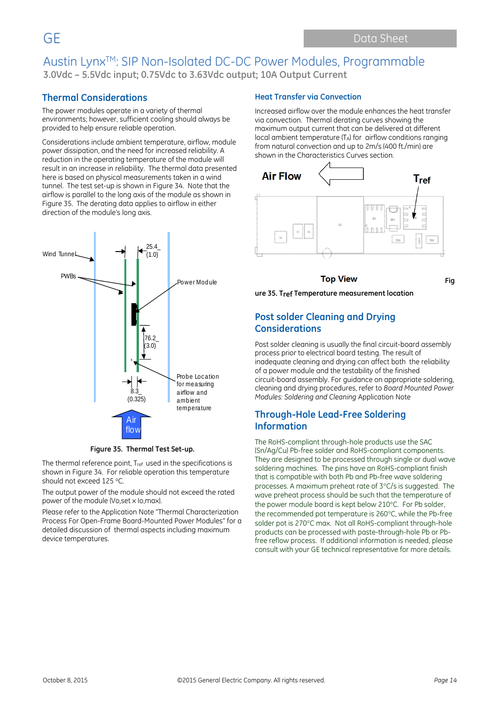## **Thermal Considerations**

The power modules operate in a variety of thermal environments; however, sufficient cooling should always be provided to help ensure reliable operation.

Considerations include ambient temperature, airflow, module power dissipation, and the need for increased reliability. A reduction in the operating temperature of the module will result in an increase in reliability. The thermal data presented here is based on physical measurements taken in a wind tunnel. The test set-up is shown in Figure 34. Note that the airflow is parallel to the long axis of the module as shown in Figure 35. The derating data applies to airflow in either direction of the module's long axis.



**Figure 35. Thermal Test Set-up.**

The thermal reference point, Tref used in the specifications is shown in Figure 34. For reliable operation this temperature should not exceed 125 °C.

The output power of the module should not exceed the rated power of the module (Vo,set x Io,max).

Please refer to the Application Note "Thermal Characterization Process For Open-Frame Board-Mounted Power Modules" for a detailed discussion of thermal aspects including maximum device temperatures.

#### **Heat Transfer via Convection**

Increased airflow over the module enhances the heat transfer via convection. Thermal derating curves showing the maximum output current that can be delivered at different local ambient temperature (TA) for airflow conditions ranging from natural convection and up to 2m/s (400 ft./min) are shown in the Characteristics Curves section.



#### **Top View**

**Fig**

**ure 35. Tref Temperature measurement location** 

#### **Post solder Cleaning and Drying Considerations**

Post solder cleaning is usually the final circuit-board assembly process prior to electrical board testing. The result of inadequate cleaning and drying can affect both the reliability of a power module and the testability of the finished circuit-board assembly. For guidance on appropriate soldering, cleaning and drying procedures, refer to *Board Mounted Power Modules: Soldering and Cleaning* Application Note

#### **Through-Hole Lead-Free Soldering Information**

The RoHS-compliant through-hole products use the SAC (Sn/Ag/Cu) Pb-free solder and RoHS-compliant components. They are designed to be processed through single or dual wave soldering machines. The pins have an RoHS-compliant finish that is compatible with both Pb and Pb-free wave soldering processes. A maximum preheat rate of 3°C/s is suggested. The wave preheat process should be such that the temperature of the power module board is kept below 210°C. For Pb solder, the recommended pot temperature is 260°C, while the Pb-free solder pot is 270°C max. Not all RoHS-compliant through-hole products can be processed with paste-through-hole Pb or Pbfree reflow process. If additional information is needed, please consult with your GE technical representative for more details.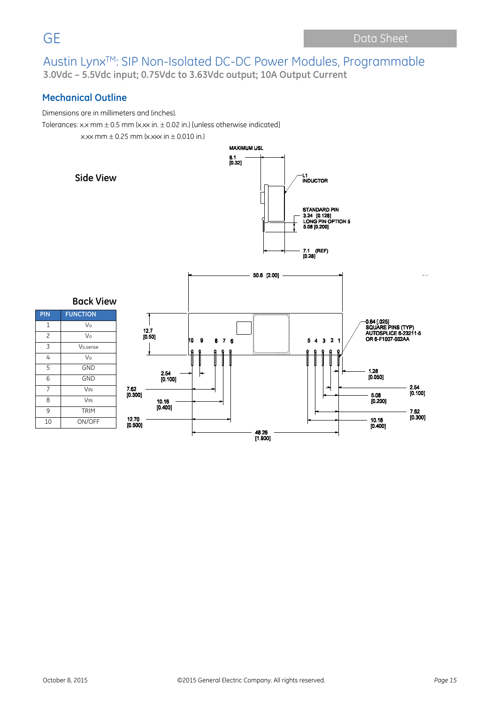$\frac{8.1}{[0.32]}$ 

## **Mechanical Outline**

Dimensions are in millimeters and (inches).

Tolerances: x.x mm  $\pm$  0.5 mm (x.xx in.  $\pm$  0.02 in.) [unless otherwise indicated]

 $x.$ xx mm  $\pm$  0.25 mm (x.xxx in  $\pm$  0.010 in.)

**Side View**





| PIN            | <b>FUNCTION</b>       |
|----------------|-----------------------|
| 1              | Vo                    |
| 2              | Vo                    |
| 3              | Vo, sense             |
| 4              | Vo                    |
| 5              | <b>GND</b>            |
| 6              | <b>GND</b>            |
| $\overline{7}$ | <b>V<sub>IN</sub></b> |
| 8              | <b>VIN</b>            |
| 9              | <b>TRIM</b>           |
| 10             | ON/OFF                |

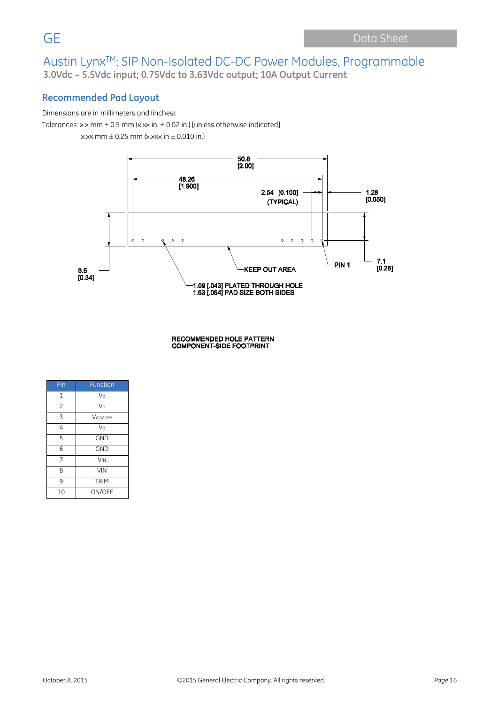## **Recommended Pad Layout**

#### Dimensions are in millimeters and (inches).

Tolerances: x.x mm  $\pm$  0.5 mm (x.xx in.  $\pm$  0.02 in.) [unless otherwise indicated]

 $x.$ xx mm  $\pm$  0.25 mm (x.xxx in  $\pm$  0.010 in.)



RECOMMENDED HOLE PATTERN<br>COMPONENT-SIDE FOOTPRINT

| Pin            | Function              |
|----------------|-----------------------|
| $\mathbf{1}$   | Vo                    |
| $\overline{c}$ | Vo                    |
| 3              | Vo.sense              |
| 4              | Vo                    |
| 5              | <b>GND</b>            |
| 6              | <b>GND</b>            |
| $\overline{7}$ | <b>V<sub>IN</sub></b> |
| 8              | <b>VIN</b>            |
| 9              | <b>TRIM</b>           |
| 10             | ON/OFF                |